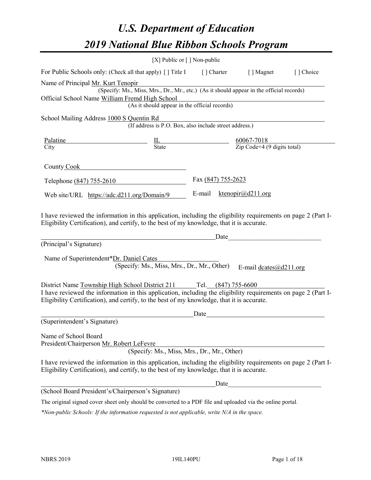# *U.S. Department of Education 2019 National Blue Ribbon Schools Program*

|                                                                                                                                                                                                              | [X] Public or $\lceil$ ] Non-public                                                                                                                                                                                                                                                |                          |                              |           |
|--------------------------------------------------------------------------------------------------------------------------------------------------------------------------------------------------------------|------------------------------------------------------------------------------------------------------------------------------------------------------------------------------------------------------------------------------------------------------------------------------------|--------------------------|------------------------------|-----------|
| For Public Schools only: (Check all that apply) [] Title I [] Charter                                                                                                                                        |                                                                                                                                                                                                                                                                                    |                          | [] Magnet                    | [] Choice |
| Name of Principal Mr. Kurt Tenopir                                                                                                                                                                           | (Specify: Ms., Miss, Mrs., Dr., Mr., etc.) (As it should appear in the official records)                                                                                                                                                                                           |                          |                              |           |
| Official School Name William Fremd High School                                                                                                                                                               |                                                                                                                                                                                                                                                                                    |                          |                              |           |
|                                                                                                                                                                                                              | (As it should appear in the official records)                                                                                                                                                                                                                                      |                          |                              |           |
| School Mailing Address 1000 S Quentin Rd                                                                                                                                                                     | (If address is P.O. Box, also include street address.)                                                                                                                                                                                                                             |                          |                              |           |
| <b>Palatine</b>                                                                                                                                                                                              |                                                                                                                                                                                                                                                                                    |                          |                              |           |
| City                                                                                                                                                                                                         | $\frac{IL}{State}$ $\frac{60067-7018}{Zip Code+4 (9 digits total)}$                                                                                                                                                                                                                |                          |                              |           |
| County Cook                                                                                                                                                                                                  |                                                                                                                                                                                                                                                                                    |                          |                              |           |
| Telephone (847) 755-2610                                                                                                                                                                                     |                                                                                                                                                                                                                                                                                    | Fax (847) 755-2623       |                              |           |
| Web site/URL https://adc.d211.org/Domain/9                                                                                                                                                                   |                                                                                                                                                                                                                                                                                    | E-mail ktenopir@d211.org |                              |           |
| (Principal's Signature)<br>Name of Superintendent*Dr. Daniel Cates                                                                                                                                           | <u>Date</u> and the contract of the Date of the Contract of the Contract of the Contract of the Contract of the Contract of the Contract of the Contract of the Contract of the Contract of the Contract of the Contract of the Con<br>(Specify: Ms., Miss, Mrs., Dr., Mr., Other) |                          | E-mail dcates $(a)$ d211.org |           |
| District Name Township High School District 211                                                                                                                                                              |                                                                                                                                                                                                                                                                                    | Tel. (847) 755-6600      |                              |           |
| I have reviewed the information in this application, including the eligibility requirements on page 2 (Part I-<br>Eligibility Certification), and certify, to the best of my knowledge, that it is accurate. |                                                                                                                                                                                                                                                                                    |                          |                              |           |
|                                                                                                                                                                                                              |                                                                                                                                                                                                                                                                                    | Date                     |                              |           |
| (Superintendent's Signature)                                                                                                                                                                                 |                                                                                                                                                                                                                                                                                    |                          |                              |           |
| Name of School Board<br>President/Chairperson Mr. Robert LeFevre                                                                                                                                             | (Specify: Ms., Miss, Mrs., Dr., Mr., Other)                                                                                                                                                                                                                                        |                          |                              |           |
| I have reviewed the information in this application, including the eligibility requirements on page 2 (Part I-<br>Eligibility Certification), and certify, to the best of my knowledge, that it is accurate. |                                                                                                                                                                                                                                                                                    |                          |                              |           |
|                                                                                                                                                                                                              |                                                                                                                                                                                                                                                                                    |                          |                              |           |
| (School Board President's/Chairperson's Signature)                                                                                                                                                           |                                                                                                                                                                                                                                                                                    |                          |                              |           |
| The original signed cover sheet only should be converted to a PDF file and uploaded via the online portal.                                                                                                   |                                                                                                                                                                                                                                                                                    |                          |                              |           |

*\*Non-public Schools: If the information requested is not applicable, write N/A in the space.*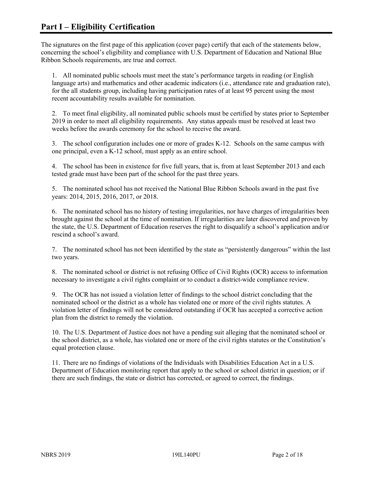The signatures on the first page of this application (cover page) certify that each of the statements below, concerning the school's eligibility and compliance with U.S. Department of Education and National Blue Ribbon Schools requirements, are true and correct.

1. All nominated public schools must meet the state's performance targets in reading (or English language arts) and mathematics and other academic indicators (i.e., attendance rate and graduation rate), for the all students group, including having participation rates of at least 95 percent using the most recent accountability results available for nomination.

2. To meet final eligibility, all nominated public schools must be certified by states prior to September 2019 in order to meet all eligibility requirements. Any status appeals must be resolved at least two weeks before the awards ceremony for the school to receive the award.

3. The school configuration includes one or more of grades K-12. Schools on the same campus with one principal, even a K-12 school, must apply as an entire school.

4. The school has been in existence for five full years, that is, from at least September 2013 and each tested grade must have been part of the school for the past three years.

5. The nominated school has not received the National Blue Ribbon Schools award in the past five years: 2014, 2015, 2016, 2017, or 2018.

6. The nominated school has no history of testing irregularities, nor have charges of irregularities been brought against the school at the time of nomination. If irregularities are later discovered and proven by the state, the U.S. Department of Education reserves the right to disqualify a school's application and/or rescind a school's award.

7. The nominated school has not been identified by the state as "persistently dangerous" within the last two years.

8. The nominated school or district is not refusing Office of Civil Rights (OCR) access to information necessary to investigate a civil rights complaint or to conduct a district-wide compliance review.

9. The OCR has not issued a violation letter of findings to the school district concluding that the nominated school or the district as a whole has violated one or more of the civil rights statutes. A violation letter of findings will not be considered outstanding if OCR has accepted a corrective action plan from the district to remedy the violation.

10. The U.S. Department of Justice does not have a pending suit alleging that the nominated school or the school district, as a whole, has violated one or more of the civil rights statutes or the Constitution's equal protection clause.

11. There are no findings of violations of the Individuals with Disabilities Education Act in a U.S. Department of Education monitoring report that apply to the school or school district in question; or if there are such findings, the state or district has corrected, or agreed to correct, the findings.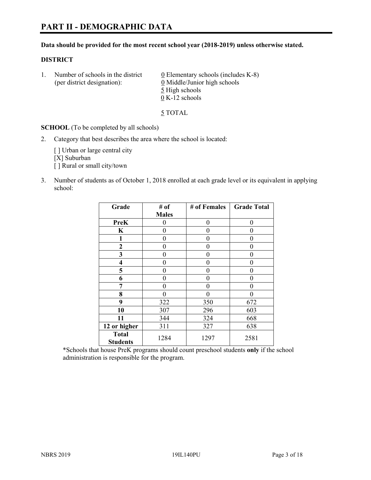#### **Data should be provided for the most recent school year (2018-2019) unless otherwise stated.**

#### **DISTRICT**

1. Number of schools in the district  $0$  Elementary schools (includes K-8) (per district designation): 0 Middle/Junior high schools 5 High schools 0 K-12 schools

5 TOTAL

**SCHOOL** (To be completed by all schools)

2. Category that best describes the area where the school is located:

[ ] Urban or large central city [X] Suburban [] Rural or small city/town

3. Number of students as of October 1, 2018 enrolled at each grade level or its equivalent in applying school:

| Grade                           | # of         | # of Females     | <b>Grade Total</b> |
|---------------------------------|--------------|------------------|--------------------|
|                                 | <b>Males</b> |                  |                    |
| PreK                            | 0            | $\theta$         | 0                  |
| K                               | 0            | $\theta$         | 0                  |
| 1                               | 0            | $\theta$         | 0                  |
| $\mathbf{2}$                    | 0            | 0                | 0                  |
| 3                               | 0            | $\theta$         | 0                  |
| 4                               | 0            | $\theta$         | 0                  |
| 5                               | 0            | $\theta$         | 0                  |
| 6                               | 0            | 0                | 0                  |
| 7                               | 0            | $\theta$         | 0                  |
| 8                               | 0            | $\boldsymbol{0}$ | 0                  |
| 9                               | 322          | 350              | 672                |
| 10                              | 307          | 296              | 603                |
| 11                              | 344          | 324              | 668                |
| 12 or higher                    | 311          | 327              | 638                |
| <b>Total</b><br><b>Students</b> | 1284         | 1297             | 2581               |

\*Schools that house PreK programs should count preschool students **only** if the school administration is responsible for the program.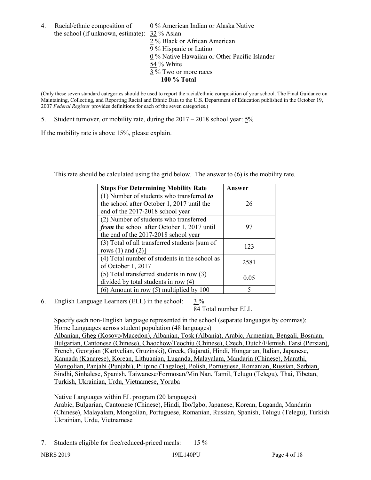4. Racial/ethnic composition of 0 % American Indian or Alaska Native the school (if unknown, estimate): 32 % Asian

 % Black or African American % Hispanic or Latino % Native Hawaiian or Other Pacific Islander 54 % White % Two or more races **100 % Total**

(Only these seven standard categories should be used to report the racial/ethnic composition of your school. The Final Guidance on Maintaining, Collecting, and Reporting Racial and Ethnic Data to the U.S. Department of Education published in the October 19, 2007 *Federal Register* provides definitions for each of the seven categories.)

5. Student turnover, or mobility rate, during the 2017 – 2018 school year: 5%

If the mobility rate is above 15%, please explain.

This rate should be calculated using the grid below. The answer to (6) is the mobility rate.

| <b>Steps For Determining Mobility Rate</b>    | Answer |
|-----------------------------------------------|--------|
| (1) Number of students who transferred to     |        |
| the school after October 1, 2017 until the    | 26     |
| end of the 2017-2018 school year              |        |
| (2) Number of students who transferred        |        |
| from the school after October 1, 2017 until   | 97     |
| the end of the 2017-2018 school year          |        |
| (3) Total of all transferred students [sum of | 123    |
| rows $(1)$ and $(2)$ ]                        |        |
| (4) Total number of students in the school as |        |
| of October 1, 2017                            | 2581   |
| (5) Total transferred students in row (3)     |        |
| divided by total students in row (4)          | 0.05   |
| $(6)$ Amount in row $(5)$ multiplied by 100   | 5      |

6. English Language Learners (ELL) in the school: 3 %

84 Total number ELL

Specify each non-English language represented in the school (separate languages by commas): Home Languages across student population (48 languages)

Albanian, Gheg (Kosovo/Macedon), Albanian, Tosk (Albania), Arabic, Armenian, Bengali, Bosnian, Bulgarian, Cantonese (Chinese), Chaochow/Teochiu (Chinese), Czech, Dutch/Flemish, Farsi (Persian), French, Georgian (Kartvelian, Gruzinski), Greek, Gujarati, Hindi, Hungarian, Italian, Japanese, Kannada (Kanarese), Korean, Lithuanian, Luganda, Malayalam, Mandarin (Chinese), Marathi, Mongolian, Panjabi (Punjabi), Pilipino (Tagalog), Polish, Portuguese, Romanian, Russian, Serbian, Sindhi, Sinhalese, Spanish, Taiwanese/Formosan/Min Nan, Tamil, Telugu (Telegu), Thai, Tibetan, Turkish, Ukrainian, Urdu, Vietnamese, Yoruba

Native Languages within EL program (20 languages)

Arabic, Bulgarian, Cantonese (Chinese), Hindi, Ibo/Igbo, Japanese, Korean, Luganda, Mandarin (Chinese), Malayalam, Mongolian, Portuguese, Romanian, Russian, Spanish, Telugu (Telegu), Turkish Ukrainian, Urdu, Vietnamese

7. Students eligible for free/reduced-priced meals: 15 %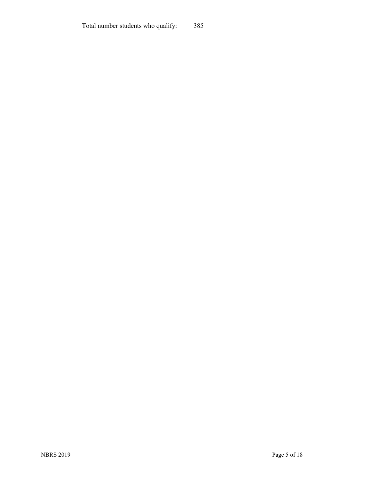# Total number students who qualify: 385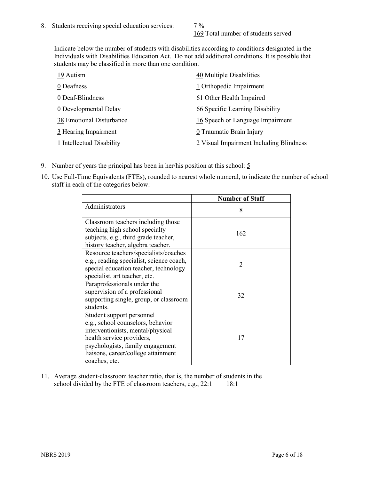169 Total number of students served

Indicate below the number of students with disabilities according to conditions designated in the Individuals with Disabilities Education Act. Do not add additional conditions. It is possible that students may be classified in more than one condition.

| 19 Autism                 | 40 Multiple Disabilities                |
|---------------------------|-----------------------------------------|
| 0 Deafness                | 1 Orthopedic Impairment                 |
| 0 Deaf-Blindness          | 61 Other Health Impaired                |
| 0 Developmental Delay     | 66 Specific Learning Disability         |
| 38 Emotional Disturbance  | 16 Speech or Language Impairment        |
| 3 Hearing Impairment      | 0 Traumatic Brain Injury                |
| 1 Intellectual Disability | 2 Visual Impairment Including Blindness |

- 9. Number of years the principal has been in her/his position at this school:  $5$
- 10. Use Full-Time Equivalents (FTEs), rounded to nearest whole numeral, to indicate the number of school staff in each of the categories below:

|                                                                                                                                                                                                                              | <b>Number of Staff</b>      |
|------------------------------------------------------------------------------------------------------------------------------------------------------------------------------------------------------------------------------|-----------------------------|
| Administrators                                                                                                                                                                                                               | 8                           |
| Classroom teachers including those<br>teaching high school specialty<br>subjects, e.g., third grade teacher,<br>history teacher, algebra teacher.                                                                            | 162                         |
| Resource teachers/specialists/coaches<br>e.g., reading specialist, science coach,<br>special education teacher, technology<br>specialist, art teacher, etc.                                                                  | $\mathcal{D}_{\mathcal{A}}$ |
| Paraprofessionals under the<br>supervision of a professional<br>supporting single, group, or classroom<br>students.                                                                                                          | 32                          |
| Student support personnel<br>e.g., school counselors, behavior<br>interventionists, mental/physical<br>health service providers,<br>psychologists, family engagement<br>liaisons, career/college attainment<br>coaches, etc. | 17                          |

11. Average student-classroom teacher ratio, that is, the number of students in the school divided by the FTE of classroom teachers, e.g.,  $22:1$  18:1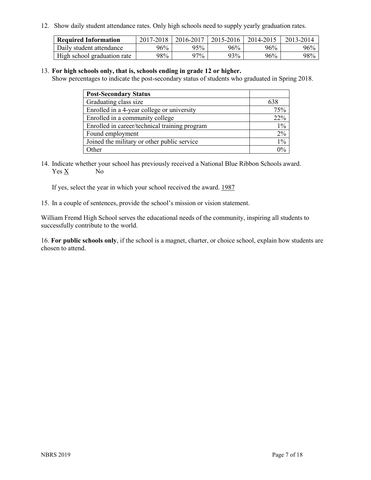12. Show daily student attendance rates. Only high schools need to supply yearly graduation rates.

| <b>Required Information</b> | 2017-2018 | 2016-2017 | 2015-2016 | 2014-2015 | 2013-2014 |
|-----------------------------|-----------|-----------|-----------|-----------|-----------|
| Daily student attendance    | 96%       | 95%       | 96%       | 96%       | 96%       |
| High school graduation rate | 98%       | $97\%$    | 93%       | 96%       | 98%       |

#### 13. **For high schools only, that is, schools ending in grade 12 or higher.**

Show percentages to indicate the post-secondary status of students who graduated in Spring 2018.

| <b>Post-Secondary Status</b>                  |       |
|-----------------------------------------------|-------|
| Graduating class size                         | 638   |
| Enrolled in a 4-year college or university    | 75%   |
| Enrolled in a community college               | 22%   |
| Enrolled in career/technical training program | $1\%$ |
| Found employment                              | 2%    |
| Joined the military or other public service   | $1\%$ |
| Other                                         |       |

14. Indicate whether your school has previously received a National Blue Ribbon Schools award. Yes X No

If yes, select the year in which your school received the award. 1987

15. In a couple of sentences, provide the school's mission or vision statement.

William Fremd High School serves the educational needs of the community, inspiring all students to successfully contribute to the world.

16. **For public schools only**, if the school is a magnet, charter, or choice school, explain how students are chosen to attend.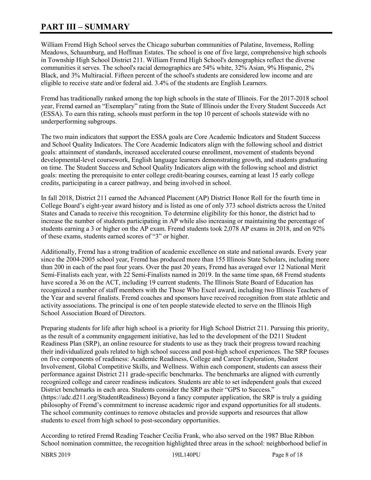# **PART III – SUMMARY**

William Fremd High School serves the Chicago suburban communities of Palatine, Inverness, Rolling Meadows, Schaumburg, and Hoffman Estates. The school is one of five large, comprehensive high schools in Township High School District 211. William Fremd High School's demographics reflect the diverse communities it serves. The school's racial demographics are 54% white, 32% Asian, 9% Hispanic, 2% Black, and 3% Multiracial. Fifteen percent of the school's students are considered low income and are eligible to receive state and/or federal aid. 3.4% of the students are English Learners.

Fremd has traditionally ranked among the top high schools in the state of Illinois. For the 2017-2018 school year, Fremd earned an "Exemplary" rating from the State of Illinois under the Every Student Succeeds Act (ESSA). To earn this rating, schools must perform in the top 10 percent of schools statewide with no underperforming subgroups.

The two main indicators that support the ESSA goals are Core Academic Indicators and Student Success and School Quality Indicators. The Core Academic Indicators align with the following school and district goals: attainment of standards, increased accelerated course enrollment, movement of students beyond developmental-level coursework, English language learners demonstrating growth, and students graduating on time. The Student Success and School Quality Indicators align with the following school and district goals: meeting the prerequisite to enter college credit-bearing courses, earning at least 15 early college credits, participating in a career pathway, and being involved in school.

In fall 2018, District 211 earned the Advanced Placement (AP) District Honor Roll for the fourth time in College Board's eight-year award history and is listed as one of only 373 school districts across the United States and Canada to receive this recognition. To determine eligibility for this honor, the district had to increase the number of students participating in AP while also increasing or maintaining the percentage of students earning a 3 or higher on the AP exam. Fremd students took 2,078 AP exams in 2018, and on 92% of these exams, students earned scores of "3" or higher.

Additionally, Fremd has a strong tradition of academic excellence on state and national awards. Every year since the 2004-2005 school year, Fremd has produced more than 155 Illinois State Scholars, including more than 200 in each of the past four years. Over the past 20 years, Fremd has averaged over 12 National Merit Semi-Finalists each year, with 22 Semi-Finalists named in 2019. In the same time span, 68 Fremd students have scored a 36 on the ACT, including 19 current students. The Illinois State Board of Education has recognized a number of staff members with the Those Who Excel award, including two Illinois Teachers of the Year and several finalists. Fremd coaches and sponsors have received recognition from state athletic and activity associations. The principal is one of ten people statewide elected to serve on the Illinois High School Association Board of Directors.

Preparing students for life after high school is a priority for High School District 211. Pursuing this priority, as the result of a community engagement initiative, has led to the development of the D211 Student Readiness Plan (SRP), an online resource for students to use as they track their progress toward reaching their individualized goals related to high school success and post-high school experiences. The SRP focuses on five components of readiness: Academic Readiness, College and Career Exploration, Student Involvement, Global Competitive Skills, and Wellness. Within each component, students can assess their performance against District 211 grade-specific benchmarks. The benchmarks are aligned with currently recognized college and career readiness indicators. Students are able to set independent goals that exceed District benchmarks in each area. Students consider the SRP as their "GPS to Success." (https://adc.d211.org/StudentReadiness) Beyond a fancy computer application, the SRP is truly a guiding philosophy of Fremd's commitment to increase academic rigor and expand opportunities for all students. The school community continues to remove obstacles and provide supports and resources that allow students to excel from high school to post-secondary opportunities.

According to retired Fremd Reading Teacher Cecilia Frank, who also served on the 1987 Blue Ribbon School nomination committee, the recognition highlighted three areas in the school: neighborhood belief in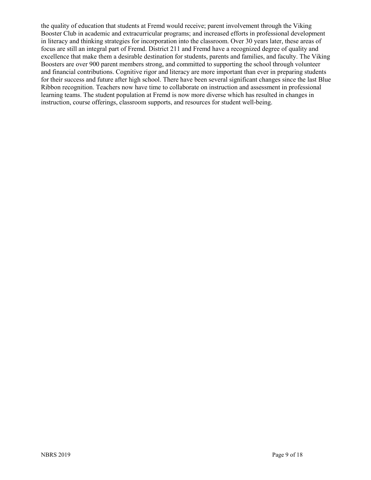the quality of education that students at Fremd would receive; parent involvement through the Viking Booster Club in academic and extracurricular programs; and increased efforts in professional development in literacy and thinking strategies for incorporation into the classroom. Over 30 years later, these areas of focus are still an integral part of Fremd. District 211 and Fremd have a recognized degree of quality and excellence that make them a desirable destination for students, parents and families, and faculty. The Viking Boosters are over 900 parent members strong, and committed to supporting the school through volunteer and financial contributions. Cognitive rigor and literacy are more important than ever in preparing students for their success and future after high school. There have been several significant changes since the last Blue Ribbon recognition. Teachers now have time to collaborate on instruction and assessment in professional learning teams. The student population at Fremd is now more diverse which has resulted in changes in instruction, course offerings, classroom supports, and resources for student well-being.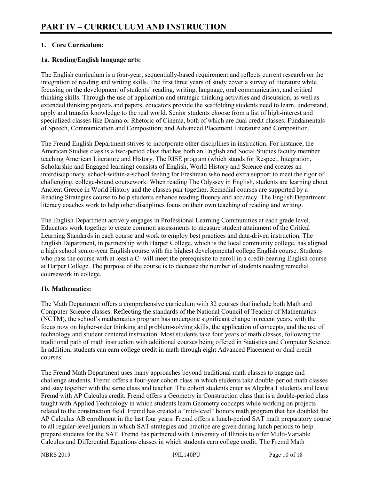# **1. Core Curriculum:**

# **1a. Reading/English language arts:**

The English curriculum is a four-year, sequentially-based requirement and reflects current research on the integration of reading and writing skills. The first three years of study cover a survey of literature while focusing on the development of students' reading, writing, language, oral communication, and critical thinking skills. Through the use of application and strategic thinking activities and discussion, as well as extended thinking projects and papers, educators provide the scaffolding students need to learn, understand, apply and transfer knowledge to the real world. Senior students choose from a list of high-interest and specialized classes like Drama or Rhetoric of Cinema, both of which are dual credit classes; Fundamentals of Speech, Communication and Composition; and Advanced Placement Literature and Composition.

The Fremd English Department strives to incorporate other disciplines in instruction. For instance, the American Studies class is a two-period class that has both an English and Social Studies faculty member teaching American Literature and History. The RISE program (which stands for Respect, Integration, Scholarship and Engaged learning) consists of English, World History and Science and creates an interdisciplinary, school-within-a-school feeling for Freshman who need extra support to meet the rigor of challenging, college-bound coursework. When reading The Odyssey in English, students are learning about Ancient Greece in World History and the classes pair together. Remedial courses are supported by a Reading Strategies course to help students enhance reading fluency and accuracy. The English Department literacy coaches work to help other disciplines focus on their own teaching of reading and writing.

The English Department actively engages in Professional Learning Communities at each grade level. Educators work together to create common assessments to measure student attainment of the Critical Learning Standards in each course and work to employ best practices and data-driven instruction. The English Department, in partnership with Harper College, which is the local community college, has aligned a high school senior-year English course with the highest developmental college English course. Students who pass the course with at least a C- will meet the prerequisite to enroll in a credit-bearing English course at Harper College. The purpose of the course is to decrease the number of students needing remedial coursework in college.

#### **1b. Mathematics:**

The Math Department offers a comprehensive curriculum with 32 courses that include both Math and Computer Science classes. Reflecting the standards of the National Council of Teacher of Mathematics (NCTM), the school's mathematics program has undergone significant change in recent years, with the focus now on higher-order thinking and problem-solving skills, the application of concepts, and the use of technology and student centered instruction. Most students take four years of math classes, following the traditional path of math instruction with additional courses being offered in Statistics and Computer Science. In addition, students can earn college credit in math through eight Advanced Placement or dual credit courses.

The Fremd Math Department uses many approaches beyond traditional math classes to engage and challenge students. Fremd offers a four-year cohort class in which students take double-period math classes and stay together with the same class and teacher. The cohort students enter as Algebra 1 students and leave Fremd with AP Calculus credit. Fremd offers a Geometry in Construction class that is a double-period class taught with Applied Technology in which students learn Geometry concepts while working on projects related to the construction field. Fremd has created a "mid-level" honors math program that has doubled the AP Calculus AB enrollment in the last four years. Fremd offers a lunch-period SAT math preparatory course to all regular-level juniors in which SAT strategies and practice are given during lunch periods to help prepare students for the SAT. Fremd has partnered with University of Illinois to offer Multi-Variable Calculus and Differential Equations classes in which students earn college credit. The Fremd Math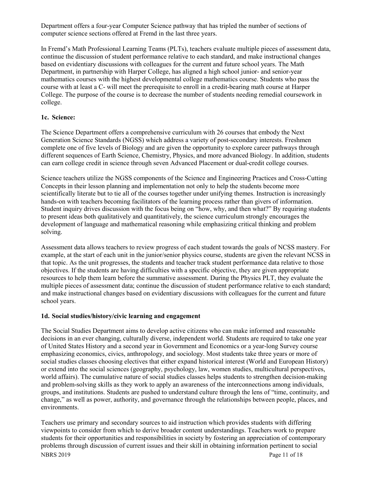Department offers a four-year Computer Science pathway that has tripled the number of sections of computer science sections offered at Fremd in the last three years.

In Fremd's Math Professional Learning Teams (PLTs), teachers evaluate multiple pieces of assessment data, continue the discussion of student performance relative to each standard, and make instructional changes based on evidentiary discussions with colleagues for the current and future school years. The Math Department, in partnership with Harper College, has aligned a high school junior- and senior-year mathematics courses with the highest developmental college mathematics course. Students who pass the course with at least a C- will meet the prerequisite to enroll in a credit-bearing math course at Harper College. The purpose of the course is to decrease the number of students needing remedial coursework in college.

# **1c. Science:**

The Science Department offers a comprehensive curriculum with 26 courses that embody the Next Generation Science Standards (NGSS) which address a variety of post-secondary interests. Freshmen complete one of five levels of Biology and are given the opportunity to explore career pathways through different sequences of Earth Science, Chemistry, Physics, and more advanced Biology. In addition, students can earn college credit in science through seven Advanced Placement or dual-credit college courses.

Science teachers utilize the NGSS components of the Science and Engineering Practices and Cross-Cutting Concepts in their lesson planning and implementation not only to help the students become more scientifically literate but to tie all of the courses together under unifying themes. Instruction is increasingly hands-on with teachers becoming facilitators of the learning process rather than givers of information. Student inquiry drives discussion with the focus being on "how, why, and then what?" By requiring students to present ideas both qualitatively and quantitatively, the science curriculum strongly encourages the development of language and mathematical reasoning while emphasizing critical thinking and problem solving.

Assessment data allows teachers to review progress of each student towards the goals of NCSS mastery. For example, at the start of each unit in the junior/senior physics course, students are given the relevant NCSS in that topic. As the unit progresses, the students and teacher track student performance data relative to those objectives. If the students are having difficulties with a specific objective, they are given appropriate resources to help them learn before the summative assessment. During the Physics PLT, they evaluate the multiple pieces of assessment data; continue the discussion of student performance relative to each standard; and make instructional changes based on evidentiary discussions with colleagues for the current and future school years.

#### **1d. Social studies/history/civic learning and engagement**

The Social Studies Department aims to develop active citizens who can make informed and reasonable decisions in an ever changing, culturally diverse, independent world. Students are required to take one year of United States History and a second year in Government and Economics or a year-long Survey course emphasizing economics, civics, anthropology, and sociology. Most students take three years or more of social studies classes choosing electives that either expand historical interest (World and European History) or extend into the social sciences (geography, psychology, law, women studies, multicultural perspectives, world affairs). The cumulative nature of social studies classes helps students to strengthen decision-making and problem-solving skills as they work to apply an awareness of the interconnections among individuals, groups, and institutions. Students are pushed to understand culture through the lens of "time, continuity, and change," as well as power, authority, and governance through the relationships between people, places, and environments.

NBRS 2019 Page 11 of 18 Teachers use primary and secondary sources to aid instruction which provides students with differing viewpoints to consider from which to derive broader content understandings. Teachers work to prepare students for their opportunities and responsibilities in society by fostering an appreciation of contemporary problems through discussion of current issues and their skill in obtaining information pertinent to social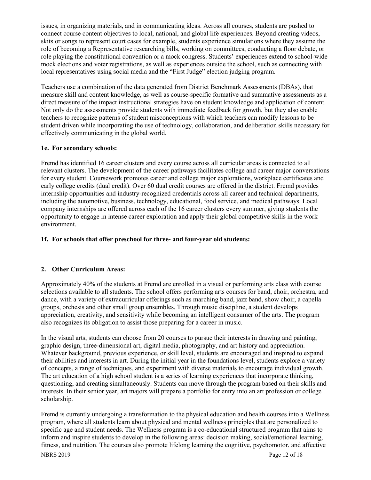issues, in organizing materials, and in communicating ideas. Across all courses, students are pushed to connect course content objectives to local, national, and global life experiences. Beyond creating videos, skits or songs to represent court cases for example, students experience simulations where they assume the role of becoming a Representative researching bills, working on committees, conducting a floor debate, or role playing the constitutional convention or a mock congress. Students' experiences extend to school-wide mock elections and voter registrations, as well as experiences outside the school, such as connecting with local representatives using social media and the "First Judge" election judging program.

Teachers use a combination of the data generated from District Benchmark Assessments (DBAs), that measure skill and content knowledge, as well as course-specific formative and summative assessments as a direct measure of the impact instructional strategies have on student knowledge and application of content. Not only do the assessments provide students with immediate feedback for growth, but they also enable teachers to recognize patterns of student misconceptions with which teachers can modify lessons to be student driven while incorporating the use of technology, collaboration, and deliberation skills necessary for effectively communicating in the global world.

# **1e. For secondary schools:**

Fremd has identified 16 career clusters and every course across all curricular areas is connected to all relevant clusters. The development of the career pathways facilitates college and career major conversations for every student. Coursework promotes career and college major explorations, workplace certificates and early college credits (dual credit). Over 60 dual credit courses are offered in the district. Fremd provides internship opportunities and industry-recognized credentials across all career and technical departments, including the automotive, business, technology, educational, food service, and medical pathways. Local company internships are offered across each of the 16 career clusters every summer, giving students the opportunity to engage in intense career exploration and apply their global competitive skills in the work environment.

# **1f. For schools that offer preschool for three- and four-year old students:**

# **2. Other Curriculum Areas:**

Approximately 40% of the students at Fremd are enrolled in a visual or performing arts class with course selections available to all students. The school offers performing arts courses for band, choir, orchestra, and dance, with a variety of extracurricular offerings such as marching band, jazz band, show choir, a capella groups, orchesis and other small group ensembles. Through music discipline, a student develops appreciation, creativity, and sensitivity while becoming an intelligent consumer of the arts. The program also recognizes its obligation to assist those preparing for a career in music.

In the visual arts, students can choose from 20 courses to pursue their interests in drawing and painting, graphic design, three-dimensional art, digital media, photography, and art history and appreciation. Whatever background, previous experience, or skill level, students are encouraged and inspired to expand their abilities and interests in art. During the initial year in the foundations level, students explore a variety of concepts, a range of techniques, and experiment with diverse materials to encourage individual growth. The art education of a high school student is a series of learning experiences that incorporate thinking, questioning, and creating simultaneously. Students can move through the program based on their skills and interests. In their senior year, art majors will prepare a portfolio for entry into an art profession or college scholarship.

Fremd is currently undergoing a transformation to the physical education and health courses into a Wellness program, where all students learn about physical and mental wellness principles that are personalized to specific age and student needs. The Wellness program is a co-educational structured program that aims to inform and inspire students to develop in the following areas: decision making, social/emotional learning, fitness, and nutrition. The courses also promote lifelong learning the cognitive, psychomotor, and affective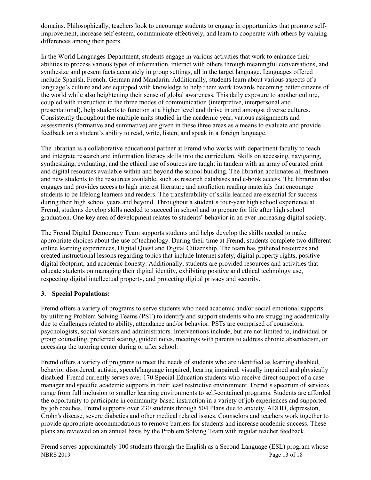domains. Philosophically, teachers look to encourage students to engage in opportunities that promote selfimprovement, increase self-esteem, communicate effectively, and learn to cooperate with others by valuing differences among their peers.

In the World Languages Department, students engage in various activities that work to enhance their abilities to process various types of information, interact with others through meaningful conversations, and synthesize and present facts accurately in group settings, all in the target language. Languages offered include Spanish, French, German and Mandarin. Additionally, students learn about various aspects of a language's culture and are equipped with knowledge to help them work towards becoming better citizens of the world while also heightening their sense of global awareness. This daily exposure to another culture, coupled with instruction in the three modes of communication (interpretive, interpersonal and presentational), help students to function at a higher level and thrive in and amongst diverse cultures. Consistently throughout the multiple units studied in the academic year, various assignments and assessments (formative and summative) are given in these three areas as a means to evaluate and provide feedback on a student's ability to read, write, listen, and speak in a foreign language.

The librarian is a collaborative educational partner at Fremd who works with department faculty to teach and integrate research and information literacy skills into the curriculum. Skills on accessing, navigating, synthesizing, evaluating, and the ethical use of sources are taught in tandem with an array of curated print and digital resources available within and beyond the school building. The librarian acclimates all freshmen and new students to the resources available, such as research databases and e-book access. The librarian also engages and provides access to high interest literature and nonfiction reading materials that encourage students to be lifelong learners and readers. The transferability of skills learned are essential for success during their high school years and beyond. Throughout a student's four-year high school experience at Fremd, students develop skills needed to succeed in school and to prepare for life after high school graduation. One key area of development relates to students' behavior in an ever-increasing digital society.

The Fremd Digital Democracy Team supports students and helps develop the skills needed to make appropriate choices about the use of technology. During their time at Fremd, students complete two different online learning experiences, Digital Quest and Digital Citizenship. The team has gathered resources and created instructional lessons regarding topics that include Internet safety, digital property rights, positive digital footprint, and academic honesty. Additionally, students are provided resources and activities that educate students on managing their digital identity, exhibiting positive and ethical technology use, respecting digital intellectual property, and protecting digital privacy and security.

# **3. Special Populations:**

Fremd offers a variety of programs to serve students who need academic and/or social emotional supports by utilizing Problem Solving Teams (PST) to identify and support students who are struggling academically due to challenges related to ability, attendance and/or behavior. PSTs are comprised of counselors, psychologists, social workers and administrators. Interventions include, but are not limited to, individual or group counseling, preferred seating, guided notes, meetings with parents to address chronic absenteeism, or accessing the tutoring center during or after school.

Fremd offers a variety of programs to meet the needs of students who are identified as learning disabled, behavior disordered, autistic, speech/language impaired, hearing impaired, visually impaired and physically disabled. Fremd currently serves over 170 Special Education students who receive direct support of a case manager and specific academic supports in their least restrictive environment. Fremd's spectrum of services range from full inclusion to smaller learning environments to self-contained programs. Students are afforded the opportunity to participate in community-based instruction in a variety of job experiences and supported by job coaches. Fremd supports over 230 students through 504 Plans due to anxiety, ADHD, depression, Crohn's disease, severe diabetics and other medical related issues. Counselors and teachers work together to provide appropriate accommodations to remove barriers for students and increase academic success. These plans are reviewed on an annual basis by the Problem Solving Team with regular teacher feedback.

NBRS 2019 Page 13 of 18 Fremd serves approximately 100 students through the English as a Second Language (ESL) program whose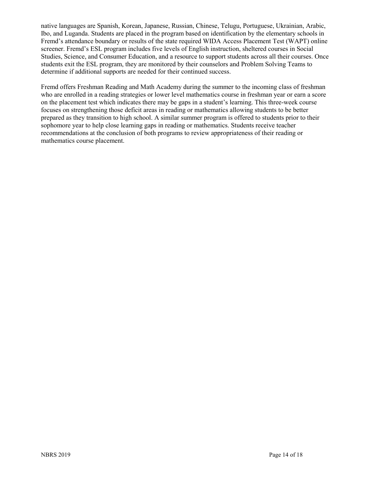native languages are Spanish, Korean, Japanese, Russian, Chinese, Telugu, Portuguese, Ukrainian, Arabic, Ibo, and Luganda. Students are placed in the program based on identification by the elementary schools in Fremd's attendance boundary or results of the state required WIDA Access Placement Test (WAPT) online screener. Fremd's ESL program includes five levels of English instruction, sheltered courses in Social Studies, Science, and Consumer Education, and a resource to support students across all their courses. Once students exit the ESL program, they are monitored by their counselors and Problem Solving Teams to determine if additional supports are needed for their continued success.

Fremd offers Freshman Reading and Math Academy during the summer to the incoming class of freshman who are enrolled in a reading strategies or lower level mathematics course in freshman year or earn a score on the placement test which indicates there may be gaps in a student's learning. This three-week course focuses on strengthening those deficit areas in reading or mathematics allowing students to be better prepared as they transition to high school. A similar summer program is offered to students prior to their sophomore year to help close learning gaps in reading or mathematics. Students receive teacher recommendations at the conclusion of both programs to review appropriateness of their reading or mathematics course placement.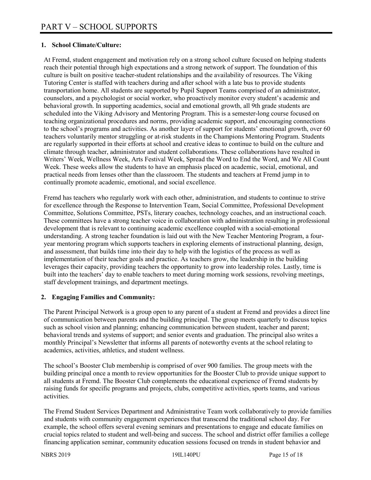# **1. School Climate/Culture:**

At Fremd, student engagement and motivation rely on a strong school culture focused on helping students reach their potential through high expectations and a strong network of support. The foundation of this culture is built on positive teacher-student relationships and the availability of resources. The Viking Tutoring Center is staffed with teachers during and after school with a late bus to provide students transportation home. All students are supported by Pupil Support Teams comprised of an administrator, counselors, and a psychologist or social worker, who proactively monitor every student's academic and behavioral growth. In supporting academics, social and emotional growth, all 9th grade students are scheduled into the Viking Advisory and Mentoring Program. This is a semester-long course focused on teaching organizational procedures and norms, providing academic support, and encouraging connections to the school's programs and activities. As another layer of support for students' emotional growth, over 60 teachers voluntarily mentor struggling or at-risk students in the Champions Mentoring Program. Students are regularly supported in their efforts at school and creative ideas to continue to build on the culture and climate through teacher, administrator and student collaborations. These collaborations have resulted in Writers' Week, Wellness Week, Arts Festival Week, Spread the Word to End the Word, and We All Count Week. These weeks allow the students to have an emphasis placed on academic, social, emotional, and practical needs from lenses other than the classroom. The students and teachers at Fremd jump in to continually promote academic, emotional, and social excellence.

Fremd has teachers who regularly work with each other, administration, and students to continue to strive for excellence through the Response to Intervention Team, Social Committee, Professional Development Committee, Solutions Committee, PSTs, literary coaches, technology coaches, and an instructional coach. These committees have a strong teacher voice in collaboration with administration resulting in professional development that is relevant to continuing academic excellence coupled with a social-emotional understanding. A strong teacher foundation is laid out with the New Teacher Mentoring Program, a fouryear mentoring program which supports teachers in exploring elements of instructional planning, design, and assessment, that builds time into their day to help with the logistics of the process as well as implementation of their teacher goals and practice. As teachers grow, the leadership in the building leverages their capacity, providing teachers the opportunity to grow into leadership roles. Lastly, time is built into the teachers' day to enable teachers to meet during morning work sessions, revolving meetings, staff development trainings, and department meetings.

# **2. Engaging Families and Community:**

The Parent Principal Network is a group open to any parent of a student at Fremd and provides a direct line of communication between parents and the building principal. The group meets quarterly to discuss topics such as school vision and planning; enhancing communication between student, teacher and parent; behavioral trends and systems of support; and senior events and graduation. The principal also writes a monthly Principal's Newsletter that informs all parents of noteworthy events at the school relating to academics, activities, athletics, and student wellness.

The school's Booster Club membership is comprised of over 900 families. The group meets with the building principal once a month to review opportunities for the Booster Club to provide unique support to all students at Fremd. The Booster Club complements the educational experience of Fremd students by raising funds for specific programs and projects, clubs, competitive activities, sports teams, and various activities.

The Fremd Student Services Department and Administrative Team work collaboratively to provide families and students with community engagement experiences that transcend the traditional school day. For example, the school offers several evening seminars and presentations to engage and educate families on crucial topics related to student and well-being and success. The school and district offer families a college financing application seminar, community education sessions focused on trends in student behavior and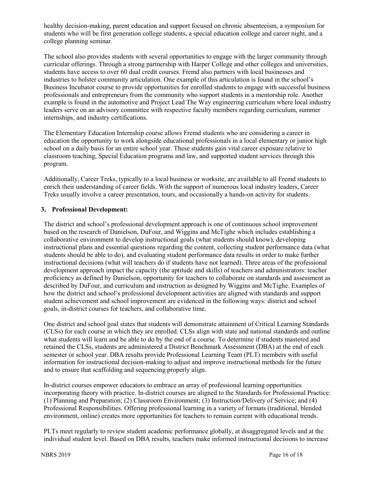healthy decision-making, parent education and support focused on chronic absenteeism, a symposium for students who will be first generation college students, a special education college and career night, and a college planning seminar.

The school also provides students with several opportunities to engage with the larger community through curricular offerings. Through a strong partnership with Harper College and other colleges and universities, students have access to over 60 dual credit courses. Fremd also partners with local businesses and industries to bolster community articulation. One example of this articulation is found in the school's Business Incubator course to provide opportunities for enrolled students to engage with successful business professionals and entrepreneurs from the community who support students in a mentorship role. Another example is found in the automotive and Project Lead The Way engineering curriculum where local industry leaders serve on an advisory committee with respective faculty members regarding curriculum, summer internships, and industry certifications.

The Elementary Education Internship course allows Fremd students who are considering a career in education the opportunity to work alongside educational professionals in a local elementary or junior high school on a daily basis for an entire school year. These students gain vital career exposure relative to classroom teaching, Special Education programs and law, and supported student services through this program.

Additionally, Career Treks, typically to a local business or worksite, are available to all Fremd students to enrich their understanding of career fields. With the support of numerous local industry leaders, Career Treks usually involve a career presentation, tours, and occasionally a hands-on activity for students.

# **3. Professional Development:**

The district and school's professional development approach is one of continuous school improvement based on the research of Danielson, DuFour, and Wiggins and McTighe which includes establishing a collaborative environment to develop instructional goals (what students should know), developing instructional plans and essential questions regarding the content, collecting student performance data (what students should be able to do), and evaluating student performance data results in order to make further instructional decisions (what will teachers do if students have not learned). Three areas of the professional development approach impact the capacity (the aptitude and skills) of teachers and administrators: teacher proficiency as defined by Danielson, opportunity for teachers to collaborate on standards and assessment as described by DuFour, and curriculum and instruction as designed by Wiggins and McTighe. Examples of how the district and school's professional development activities are aligned with standards and support student achievement and school improvement are evidenced in the following ways: district and school goals, in-district courses for teachers, and collaborative time.

One district and school goal states that students will demonstrate attainment of Critical Learning Standards (CLSs) for each course in which they are enrolled. CLSs align with state and national standards and outline what students will learn and be able to do by the end of a course. To determine if students mastered and retained the CLSs, students are administered a District Benchmark Assessment (DBA) at the end of each semester or school year. DBA results provide Professional Learning Team (PLT) members with useful information for instructional decision-making to adjust and improve instructional methods for the future and to ensure that scaffolding and sequencing properly align.

In-district courses empower educators to embrace an array of professional learning opportunities incorporating theory with practice. In-district courses are aligned to the Standards for Professional Practice: (1) Planning and Preparation; (2) Classroom Environment; (3) Instruction/Delivery of Service; and (4) Professional Responsibilities. Offering professional learning in a variety of formats (traditional, blended environment, online) creates more opportunities for teachers to remain current with educational trends.

PLTs meet regularly to review student academic performance globally, at disaggregated levels and at the individual student level. Based on DBA results, teachers make informed instructional decisions to increase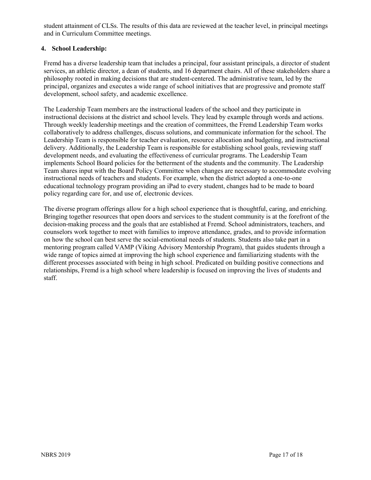student attainment of CLSs. The results of this data are reviewed at the teacher level, in principal meetings and in Curriculum Committee meetings.

# **4. School Leadership:**

Fremd has a diverse leadership team that includes a principal, four assistant principals, a director of student services, an athletic director, a dean of students, and 16 department chairs. All of these stakeholders share a philosophy rooted in making decisions that are student-centered. The administrative team, led by the principal, organizes and executes a wide range of school initiatives that are progressive and promote staff development, school safety, and academic excellence.

The Leadership Team members are the instructional leaders of the school and they participate in instructional decisions at the district and school levels. They lead by example through words and actions. Through weekly leadership meetings and the creation of committees, the Fremd Leadership Team works collaboratively to address challenges, discuss solutions, and communicate information for the school. The Leadership Team is responsible for teacher evaluation, resource allocation and budgeting, and instructional delivery. Additionally, the Leadership Team is responsible for establishing school goals, reviewing staff development needs, and evaluating the effectiveness of curricular programs. The Leadership Team implements School Board policies for the betterment of the students and the community. The Leadership Team shares input with the Board Policy Committee when changes are necessary to accommodate evolving instructional needs of teachers and students. For example, when the district adopted a one-to-one educational technology program providing an iPad to every student, changes had to be made to board policy regarding care for, and use of, electronic devices.

The diverse program offerings allow for a high school experience that is thoughtful, caring, and enriching. Bringing together resources that open doors and services to the student community is at the forefront of the decision-making process and the goals that are established at Fremd. School administrators, teachers, and counselors work together to meet with families to improve attendance, grades, and to provide information on how the school can best serve the social-emotional needs of students. Students also take part in a mentoring program called VAMP (Viking Advisory Mentorship Program), that guides students through a wide range of topics aimed at improving the high school experience and familiarizing students with the different processes associated with being in high school. Predicated on building positive connections and relationships, Fremd is a high school where leadership is focused on improving the lives of students and staff.